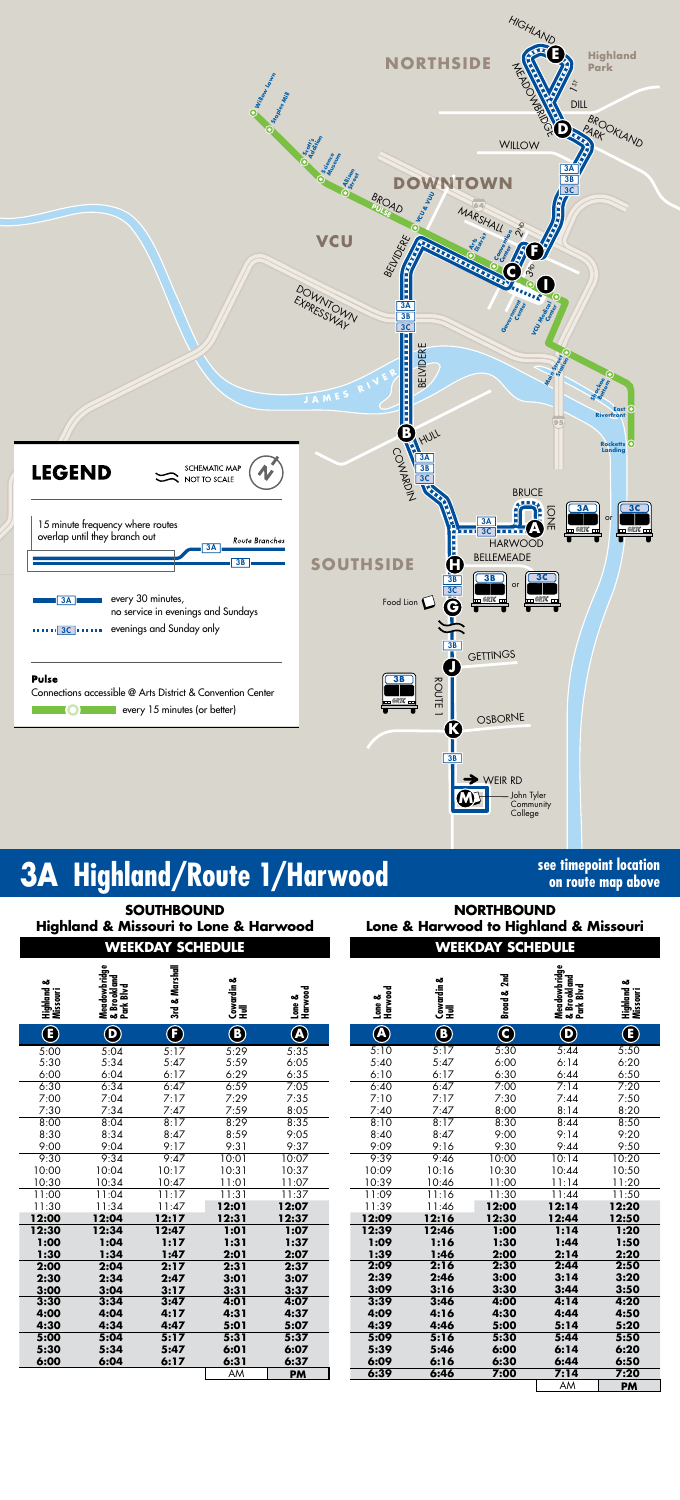

# **3A** Highland/Route 1/Harwood **See timepoint location**

# **on route map above**

|                         | <b>Highland &amp; Missouri to Lone &amp; Harwood</b> | <b>SOUTHBOUND</b> |   |  | <b>NORTHBOUND</b><br>Lone & Harwood to Highland & Missouri |    |     |  |  |  |
|-------------------------|------------------------------------------------------|-------------------|---|--|------------------------------------------------------------|----|-----|--|--|--|
| <b>WEEKDAY SCHEDULE</b> |                                                      |                   |   |  | <b>WEEKDAY SCHEDULE</b>                                    |    |     |  |  |  |
| త                       |                                                      |                   | త |  |                                                            | ٥ð | يدہ |  |  |  |

| ఱ<br>Highland<br>Missouri | Meadowbridge<br>& Brookland<br>Park Blvd | 3rd & Marshall             | Cowardin &<br>Hull | Harwood<br>Lone & | Harwood<br>Lone & | Cowardin &<br>Hull | Broad & 2nd             | Meadowbridge<br>& Brookland<br>Park Blvd | ఱ<br>Highland<br>Missouri |
|---------------------------|------------------------------------------|----------------------------|--------------------|-------------------|-------------------|--------------------|-------------------------|------------------------------------------|---------------------------|
|                           |                                          |                            |                    |                   |                   |                    |                         |                                          |                           |
| $\bigcirc$                | $\mathbf 0$                              | $\textcircled{\textbf{f}}$ | $\mathbf{B}$       | $\bigcircledR$    | $\bigcirc$        | $\bigcirc$         | $\overline{\mathbf{C}}$ | $\mathbf 0$                              | $\bm{\mathbb{G}}$         |
| 5:00                      | 5:04                                     | 5:17                       | 5:29               | 5:35              | 5:10              | 5:17               | 5:30                    | 5:44                                     | 5:50                      |
| 5:30                      | 5:34                                     | 5:47                       | 5:59               | 6:05              | 5:40              | 5:47               | 6:00                    | 6:14                                     | 6:20                      |
| 6:00                      | 6:04                                     | 6:17                       | 6:29               | 6:35              | 6:10              | 6:17               | 6:30                    | 6:44                                     | 6:50                      |
| 6:30                      | 6:34                                     | 6:47                       | 6:59               | 7:05              | 6:40              | 6:47               | 7:00                    | 7:14                                     | 7:20                      |
| 7:00                      | 7:04                                     | 7:17                       | 7:29               | 7:35              | 7:10              | 7:17               | 7:30                    | 7:44                                     | 7:50                      |
| 7:30                      | 7:34                                     | 7:47                       | 7:59               | 8:05              | 7:40              | 7:47               | 8:00                    | 8:14                                     | 8:20                      |
| 8:00                      | 8:04                                     | 8:17                       | 8:29               | 8:35              | 8:10              | 8:17               | 8:30                    | 8:44                                     | 8:50                      |
| 8:30                      | 8:34                                     | 8:47                       | 8:59               | 9:05              | 8:40              | 8:47               | 9:00                    | 9:14                                     | 9:20                      |
| 9:00                      | 9:04                                     | 9:17                       | 9:31               | 9:37              | 9:09              | 9:16               | 9:30                    | 9:44                                     | 9:50                      |
| 9:30                      | 9:34                                     | 9:47                       | 10:01              | 10:07             | 9:39              | 9:46               | 10:00                   | 10:14                                    | 10:20                     |
| 10:00                     | 10:04                                    | 10:17                      | 10:31              | 10:37             | 10:09             | 10:16              | 10:30                   | 10:44                                    | 10:50                     |
| 10:30                     | 10:34                                    | 10:47                      | 11:01              | 11:07             | 10:39             | 10:46              | 11:00                   | 11:14                                    | 11:20                     |
| 11:00                     | 11:04                                    | 11:17                      | 11:31              | 11:37             | 11:09             | 11:16              | 11:30                   | 11:44                                    | 11:50                     |
| 11:30                     | 11:34                                    | 11:47                      | 12:01              | 12:07             | 11:39             | 11:46              | 12:00                   | 12:14                                    | 12:20                     |
| 12:00                     | 12:04                                    | 12:17                      | 12:31              | 12:37             | 12:09             | 12:16              | 12:30                   | 12:44                                    | 12:50                     |
| 12:30                     | 12:34                                    | 12:47                      | 1:01               | 1:07              | 12:39             | 12:46              | 1:00                    | 1:14                                     | 1:20                      |
| 1:00                      | 1:04                                     | 1:17                       | 1:31               | 1:37              | 1:09              | 1:16               | 1:30                    | 1:44                                     | 1:50                      |
| 1:30                      | 1:34                                     | 1:47                       | 2:01               | 2:07              | 1:39              | 1:46               | 2:00                    | 2:14                                     | 2:20                      |
| 2:00                      | 2:04                                     | 2:17                       | 2:31               | 2:37              | 2:09              | 2:16               | 2:30                    | 2:44                                     | 2:50                      |
| 2:30                      | 2:34                                     | 2:47                       | 3:01               | 3:07              | 2:39              | 2:46               | 3:00                    | 3:14                                     | 3:20                      |
| 3:00                      | 3:04                                     | 3:17                       | 3:31               | 3:37              | 3:09              | 3:16               | 3:30                    | 3:44                                     | 3:50                      |
| 3:30                      | 3:34                                     | 3:47                       | 4:01               | 4:07              | 3:39              | 3:46               | 4:00                    | 4:14                                     | 4:20                      |
| 4:00                      | 4:04                                     | 4:17                       | 4:31               | 4:37              | 4:09              | 4:16               | 4:30                    | 4:44                                     | 4:50                      |
| 4:30                      | 4:34                                     | 4:47                       | 5:01               | 5:07              | 4:39              | 4:46               | 5:00                    | 5:14                                     | 5:20                      |
| 5:00                      | 5:04                                     | 5:17                       | 5:31               | 5:37              | 5:09              | 5:16               | 5:30                    | 5:44                                     | 5:50                      |
| 5:30                      | 5:34                                     | 5:47                       | 6:01               | 6:07              | 5:39              | 5:46               | 6:00                    | 6:14                                     | 6:20                      |
| 6:00                      | 6:04                                     | 6:17                       | 6:31               | 6:37              | 6:09              | 6:16               | 6:30                    | 6:44                                     | 6:50                      |
|                           |                                          |                            | <b>AM</b>          | <b>PM</b>         | 6:39              | 6:46               | 7:00                    | 7:14                                     | 7:20                      |
|                           |                                          |                            |                    |                   |                   |                    |                         | AM                                       | <b>PM</b>                 |